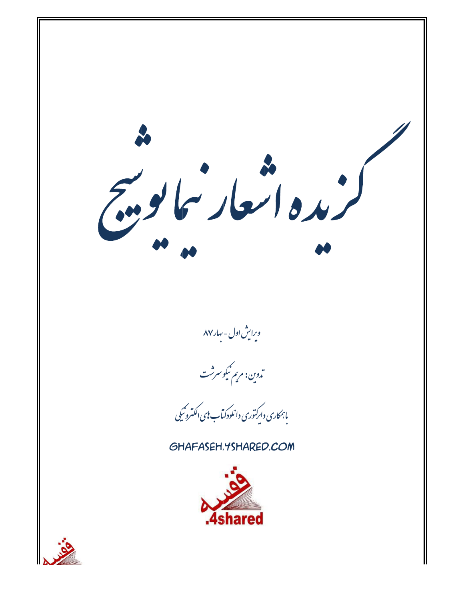سم العاد سما يو .<br>مده العاد سما يو ... ویرایش اول - بهار۸۷ .<br>ت<sub>دوين: مريم</sub> نيکوسرثت ،<br>بابمکاری دارکتوری دانلودکیاب <sup>ب</sup>ای اکتسرو<sup>س</sup>یکی GHAFASEH, YSHARED, COM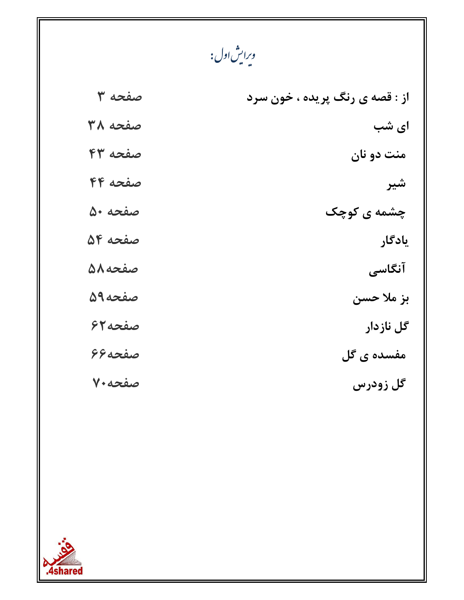وبرايش <sub>ا</sub>ول :<br>\*

| از : قصه ی رنگ پریده ، خون سرد | صفحه ٣  |
|--------------------------------|---------|
| ای شب                          | صفحه ٣٨ |
| منت دو نان                     | صفحه ۴۳ |
| شير                            | صفحه ۴۴ |
| چشمه ی کوچک                    | صفحه ۵۰ |
| يادگار                         | صفحه ۵۴ |
| آنگاسی                         | صفحه ٥٨ |
| بز ملا حسن                     | صفحه9۵  |
| گل نازدار                      | صفحه7۶  |
| مفسده ی گل                     | صفحه ۶۶ |
| گل زودرس                       | صفحه ۷۰ |

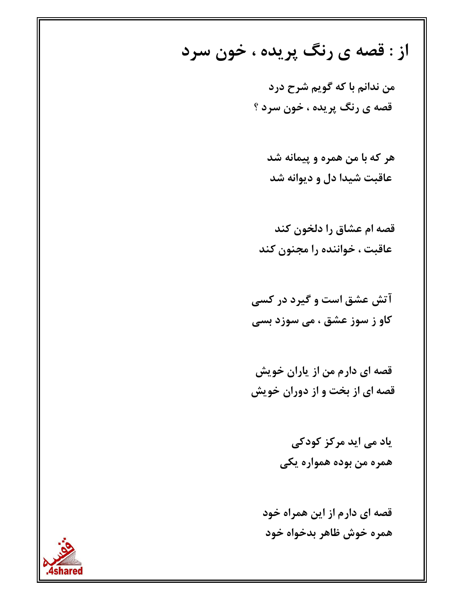از : قصه ی رنگ پریده ، خون سرد

من ندانم با که گویم شرح درد قصه ی رنگ پریده ، خون سرد ؟

هر که با من همره و پیمانه شد عاقبت شیدا دل و دیوانه شد

قصه ام عشاق را دلخون کند عاقبت ، خواننده را مجنون کند

آتش عشق است و گیرد در کسی کاو ز سوز عشق ، می سوزد بسی

قصه ای دارم من از پاران خویش قصه ای از بخت و از دوران خویش

> یاد می اید مرکز کودکی همره من بوده همواره یکی

قصه ای دارم از این همراه خود همره خوش ظاهر بدخواه خود

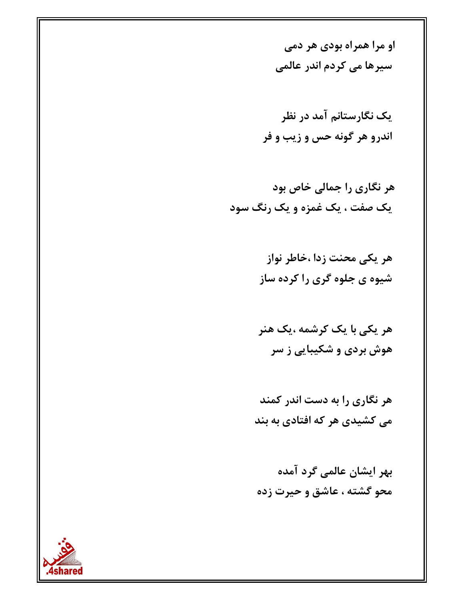او مرا همراه بودی هر دمی سیرها می کردم اندر عالمی

یک نگارستانم آمد در نظر اندرو هر گونه حس و زيب و فر

هر یکی محنت زدا ،خاطر نواز شیوه ی جلوه گری را کرده ساز

هر یکی با یک کرشمه ،یک هنر هوش بردی و شکیبایی ز سر

هر نگاری را به دست اندر کمند می کشیدی هر که افتادی به بند

بهر ایشان عالمی گرد آمده محو گشته ، عاشق و حیرت زده

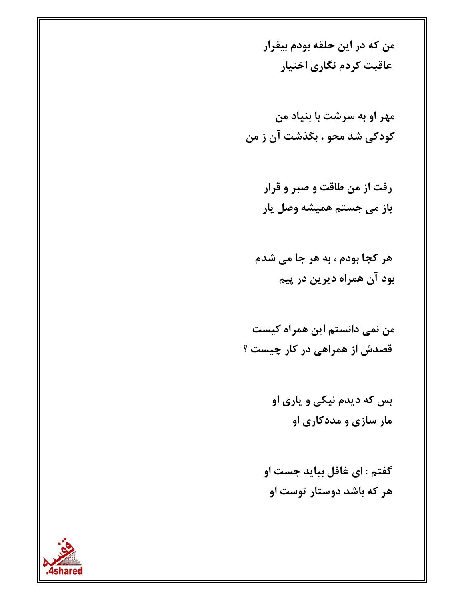من که در این حلقه بودم بیقرار عاقبت كردم نگاري اختيار

- رفت از من طاقت و صبر و قرار باز می جستم همیشه وصل یار
- هر کجا بودم ، به هر جا می شدم بود آن همراه دیرین در پیم

- بس که دیدم نیکی و یاری او مار سازی و مددکاری او
- گفتم : ای غافل بباید جست او هر که باشد دوستار توست او

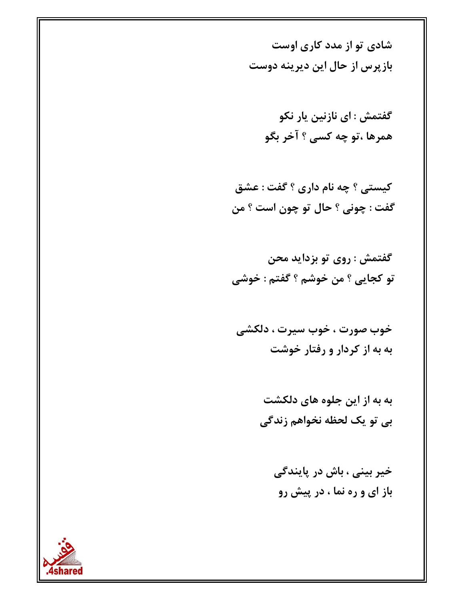شادی تو از مدد کاری اوست باز پرس از حال این دیرینه دوست

> گفتمش : ای نازنین یار نکو همرها ،تو چه کسي ؟ آخر بگو

کیستی ؟ چه نام داری ؟ گفت : عشق گفت : چونی ؟ حال تو چون است ؟ من

گفتمش : روی تو بزداید محن تو كجايي ؟ من خوشم ؟ گفتم : خوشي

خوب صورت ، خوب سيرت ، دلكشي به به از کردار و رفتار خوشت

> به به از این جلوه های دلکشت بي تو يک لحظه نخواهم زندگي

> > خیر بینی ، باش در پایندگی باز ای و ره نما ، در پیش رو

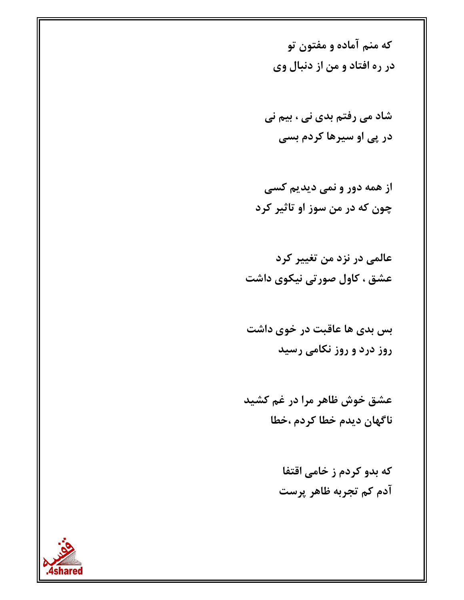که منم آماده و مفتون تو در ره افتاد و من از دنبال وي

شاد می رفتم بدی نی ، بیم نی در پی او سپرها کردم بسی

از همه دور و نمي ديديم كسي چون که در من سوز او تاثیر کرد

عالمي در نزد من تغيير كرد عشق ، کاول صورتی نیکوی داشت

بس بدی ها عاقبت در خوی داشت روز درد و روز نکامی رسید

عشق خوش ظاهر مرا در غم کشید ناگهان ديدم خطا كردم ،خطا

> که بدو کردم ز خامی اقتفا آدم کم تجربه ظاهر پرست

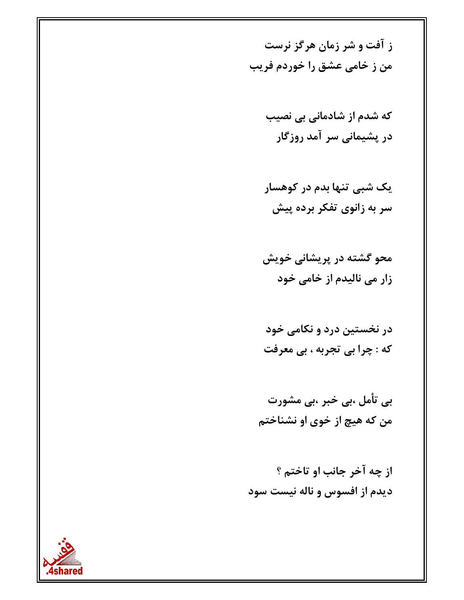ز آفت و شر زمان هرگز نرست من ز خامی عشق را خوردم فریب

> که شدم از شادمانی بی نصیب در پشیمانی سر آمد روزگار

یک شبی تنها بدم در کوهسار سر به زانوی تفکر برده پیش

محو گشته در پریشانی خویش زار می نالیدم از خامی خود

در نخستین درد و نکامی خود که : چرا بی تجربه ، بی معرفت

بی تأمل ،بی خبر ،بی مشورت من که هیچ از خوی او نشناختم

از چه آخر جانب او تاختم ؟ دیدم از افسوس و ناله نیست سود

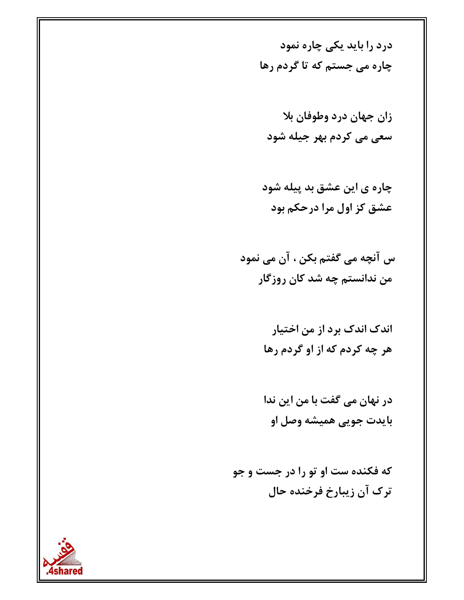درد را باید یکی چاره نمود چاره می جستم که تا گردم رها

زان جهان درد وطوفان بلا سعی می کردم بھر جیله شود

چاره ی این عشق بد پیله شود عشق کز اول مرا درحکم بود

س آنچه می گفتم بکن ، آن می نمود من ندانستم چه شد کان روزگار

> اندک اندک برد از من اختیار هر چه کردم که از او گردم رها

> در نهان می گفت با من این ندا بايدت جويي هميشه وصل او

که فکنده ست او تو را در جست و جو ترک آن زیبارخ فرخنده حال

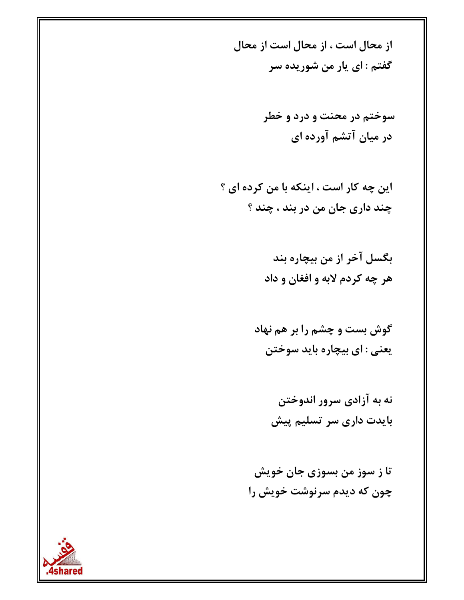از محال است ، از محال است از محال گفتم : ای یار من شوریده سر

> سوختم در محنت و درد و خطر در میان آتشم آورده ای

این چه کار است ، اینکه با من کرده ای ؟ چند داری جان من در بند ، چند ؟

> بگسل آخر از من بیچاره بند هر چه کردم لابه و افغان و داد

گوش بست و چشم را بر هم نهاد يعني : اي بيچاره بايد سوختن

> نه به آزادی سرور اندوختن بایدت داری سر تسلیم پیش

تا ز سوز من بسوزی جان خویش چون که دیدم سرنوشت خویش را

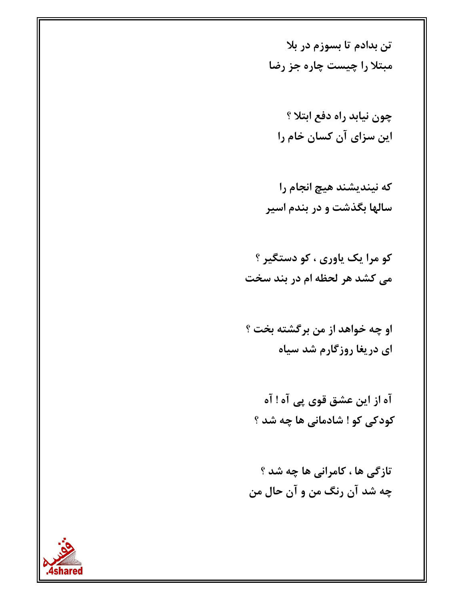تن بدادم تا بسوزم در بلا مبتلا را چیست چاره جز رضا

چون نیابد راه دفع ابتلا ؟ این سزای آن کسان خام را

که نیندیشند هیچ انجام را سالها بگذشت و در بندم اسیر

کو مرا یک یاوری ، کو دستگیر ؟ می کشد هر لحظه ام در بند سخت

او چه خواهد از من برگشته بخت ؟ ای دریغا روزگارم شد سیاه

آه از این عشق قوی پی آه ! آه کودکی کو ! شادمانی ها چه شد ؟

تازگی ها ، کامرانی ها چه شد ؟ چه شد آن رنگ من و آن حال من

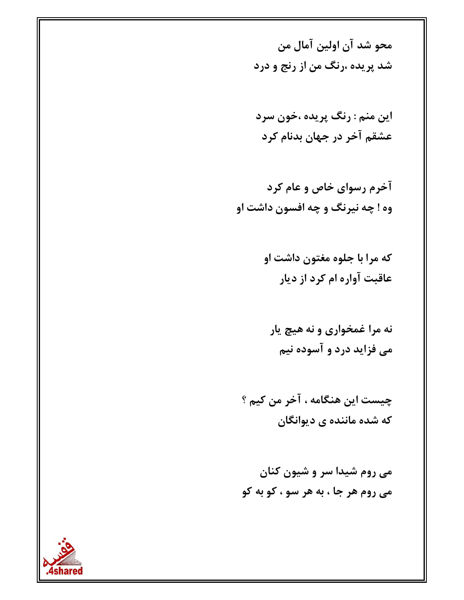محو شد آن اولين آمال من شد پريده ،رنگ من از رنج و درد

اين منم : رنگ پريده ،خون سرد عشقم آخر در جهان بدنام کرد

آخرم رسوای خاص و عام کرد وه ! چه نیرنگ و چه افسون داشت او

> که مرا با جلوه مغتون داشت او عاقبت آواره ام کرد از دیار

نه مرا غمخواری و نه هیچ پار می فزاید درد و آسوده نیم

چيست اين هنگامه ، آخر من کيم ؟ که شده ماننده ی دیوانگان

می روم شیدا سر و شیون کنان مي روم هر جا ، به هر سو ، کو به کو

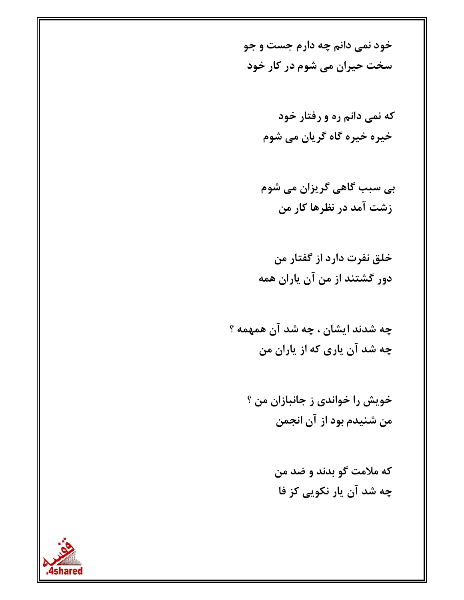خود نمي دانم چه دارم جست و جو سخت حیران می شوم در کار خود

> که نمی دانم ره و رفتار خود خیرہ خیرہ گاہ گریان می شوم

> بی سبب گاهی گریزان می شوم زشت آمد در نظرها کار من

خلق نفرت دارد از گفتار من دور گشتند از من آن پاران همه

چه شدند ایشان ، چه شد آن همهمه ؟ چه شد آن پاری که از پاران من

> خويش را خواندي ز جانبازان من ؟ من شنیدم بود از آن انجمن

> > كه ملامت گو بدند و ضد من چه شد آن یار نکویی کز فا

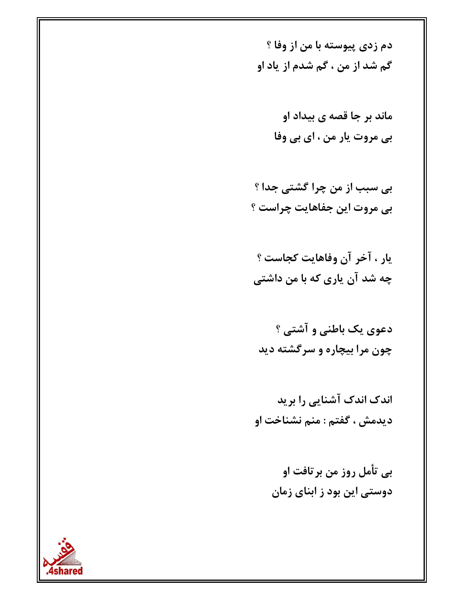دم زدي پيوسته با من از وفا ؟ گم شد از من ، گم شدم از یاد او

> ماند بر جا قصه ی بیداد او بي مروت يار من ، اي بي وفا

بی سبب از من چرا گشتی جدا ؟ بي مروت اين جفاهايت چراست ؟

يار ، آخر آن وفاهايت كجاست ؟ چه شد آن پاری که با من داشتی

دعوی یک باطنی و آشتی ؟ چون مرا بیچاره و سرگشته دید

اندک اندک آشنایی را برید ديدمش ، گفتم : منم نشناخت او

> بی تأمل روز من برتافت او دوستی این بود ز ابنای زمان

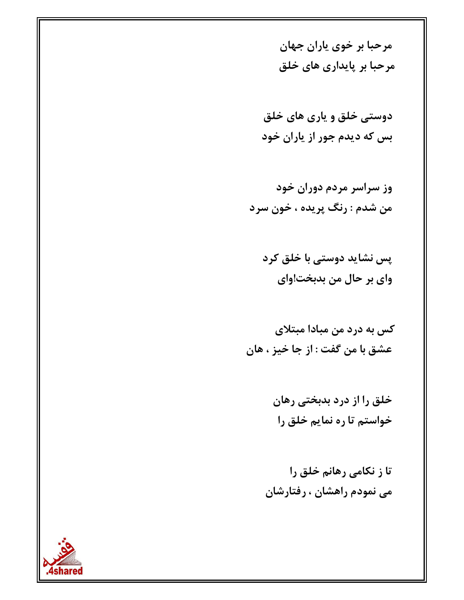مرحبا بر خوی پاران جهان مرحبا بر پایداری های خلق

دوستي خلق و ياري هاي خلق بس که دیدم جور از پاران خود

وز سراسر مردم دوران خود من شدم : رنگ پريده ، خون سرد

پس نشاید دوستی با خلق کرد واي بر حال من بدبخت!واي

کس به درد من مبادا مبتلای عشق با من گفت : از جا خیز ، هان

> خلق را از درد بدبختی رهان خواستم تا ره نمایم خلق را

تا ز نکامی رهانم خلق را می نمودم راهشان ، رفتارشان

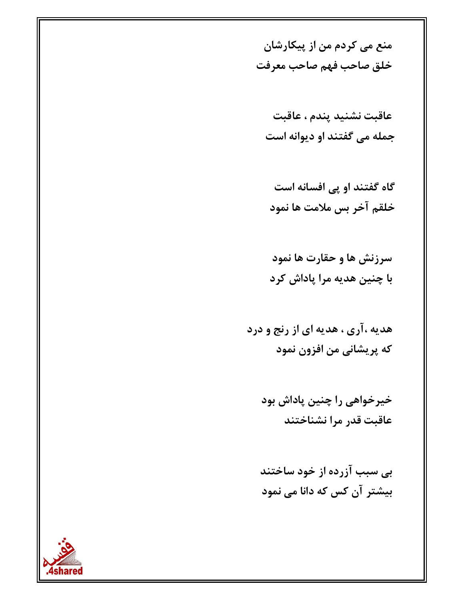منع می کردم من از پیکارشان خلق صاحب فهم صاحب معرفت

عاقبت نشنيد پندم ، عاقبت جمله می گفتند او دیوانه است

گاه گفتند او پی افسانه است خلقم آخر بس ملامت ها نمود

سرزنش ها و حقارت ها نمود با چنین هدیه مرا پاداش کرد

هدیه ،آری ، هدیه ای از رنج و درد که پریشانی من افزون نمود

خیرخواهی را چنین پاداش بود عاقبت قدر مرا نشناختند

بی سبب آزرده از خود ساختند بیشتر آن کس که دانا می نمود

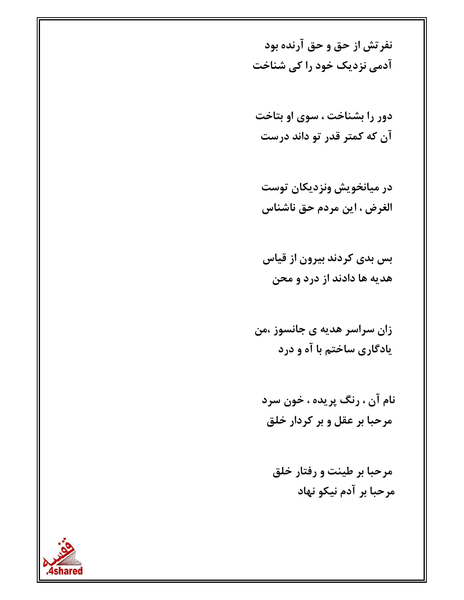نفرتش از حق و حق آرنده بود آدمی نزدیک خود را کی شناخت

دور را بشناخت ، سوی او بتاخت آن که کمتر قدر تو داند درست

در میانخویش ونزدیکان توست الغرض ، این مردم حق ناشناس

بس بدی کردند بیرون از قیاس هدیه ها دادند از درد و محن

زان سراسر هدیه ی جانسوز ،من یادگاری ساختم با آه و درد

نام آن ، رنگ پريده ، خون سرد مرحبا بر عقل و بر کردار خلق

مرحبا بر طینت و رفتار خلق مرحبا بر آدم نیکو نهاد

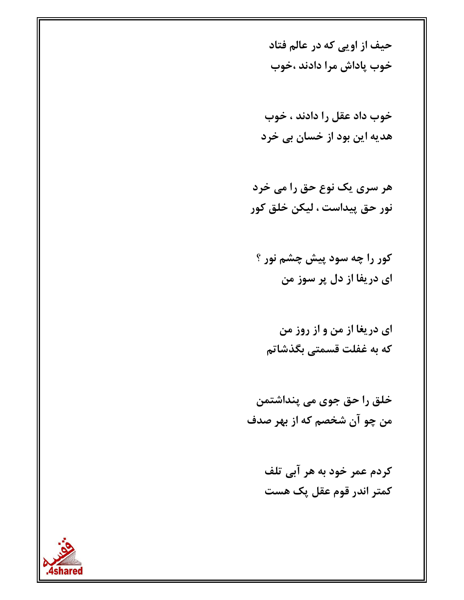حيف از اويي كه در عالم فتاد خوب پاداش مرا دادند ،خوب

خوب داد عقل را دادند ، خوب هدیه این بود از خسان بی خرد

هر سري يک نوع حق را مي خرد نور حق پيداست ، ليكن خلق كور

کور را چه سود پیش چشم نور ؟ ای دریفا از دل پر سوز من

ای دریغا از من و از روز من که به غفلت قسمتی بگذشاتم

خلق را حق جوی می پنداشتمن من چو آن شخصم که از بهر صدف

> کردم عمر خود به هر آبی تلف کمتر اندر قوم عقل پک هست

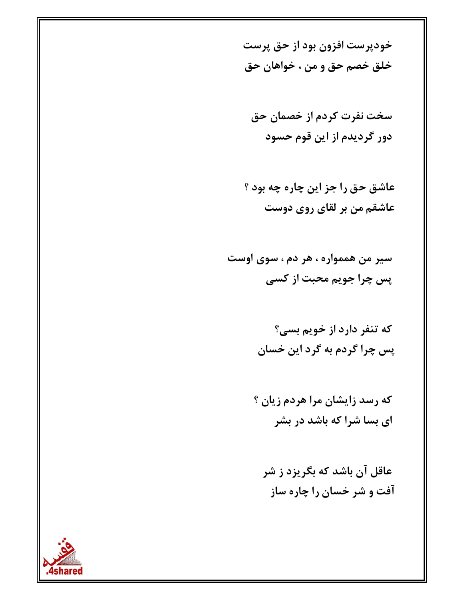خوديرست افزون بود از حق پرست خلق خصم حق و من ، خواهان حق

سخت نفرت کردم از خصمان حق دور گردیدم از این قوم حسود

عاشق حق را جز اين چاره چه بود ؟ عاشقم من بر لقای روی دوست

سير من هممواره ، هر دم ، سوي اوست پس چرا جويم محبت از کسي

> که تنفر دارد از خویم بسی؟ پس چرا گردم به گرد این خسان

كه رسد زايشان مرا هردم زيان ؟ ای بسا شرا که باشد در بشر

عاقل آن باشد که بگریزد ز شر آفت و شر خسان را چاره ساز

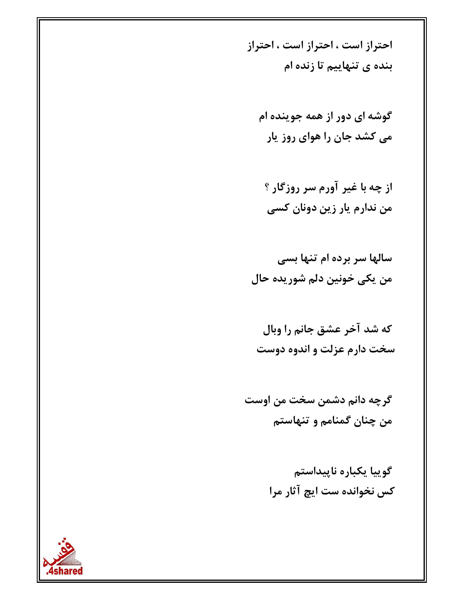احتراز است ، احتراز است ، احتراز بنده ی تنهاییم تا زنده ام

گوشه ای دور از همه جوینده ام می کشد جان را هوای روز یار

از چه با غیر آورم سر روزگار ؟ من ندارم يار زين دونان كسي

سالها سر برده ام تنها بسی من يكي خونين دلم شوريده حال

كه شد آخر عشق جانم را وبال سخت دارم عزلت و اندوه دوست

گرچه دانم دشمن سخت من اوست من چنان گمنامم و تنهاستم

> گوییا یکباره ناپیداستم کس نخوانده ست ایچ آثار مرا

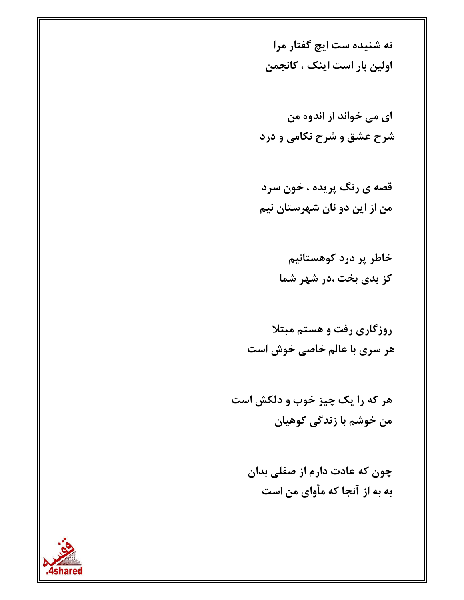نه شنیده ست ایچ گفتار مرا اولین بار است اینک ، کانجمن

ای می خواند از اندوه من شرح عشق و شرح نکامی و درد

قصه ی رنگ پریده ، خون سرد من از این دو نان شهرستان نیم

> خاطر پر درد کوهستانیم کز بدی بخت ،در شهر شما

روزگاری رفت و هستم مبتلا هر سری با عالم خاصی خوش است

هر که را یک چیز خوب و دلکش است من خوشم با زندگی کوهیان

> چون که عادت دارم از صفلی بدان به به از آنجا که مأوای من است

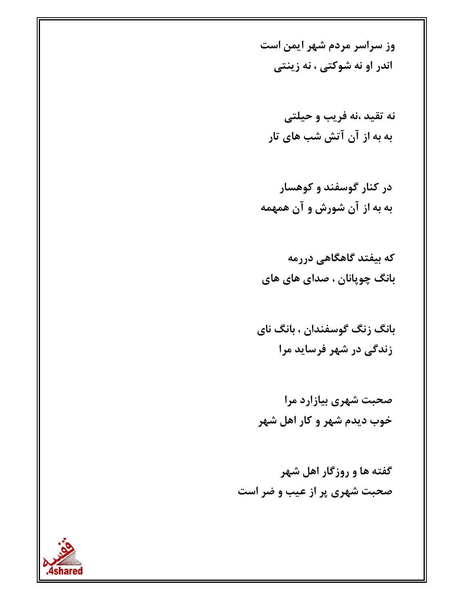وز سراسر مردم شهر ایمن است اندر او نه شوکتی ، نه زینتی

نه تقید ،نه فریب و حیلتی به به از آن آتش شب های تار

در کنار گوسفند و کوهسار به به از آن شورش و آن همهمه

که بیفتد گاهگاهی دررمه بانگ چوپانان ، صدای های های

بانگ زنگ گوسفندان ، بانگ نای زندگی در شهر فرساید مرا

صحبت شهری بیازارد مرا خوب دیدم شهر و کار اهل شهر

گفته ها و روزگار اهل شهر صحبت شهری پر از عیب و ضر است

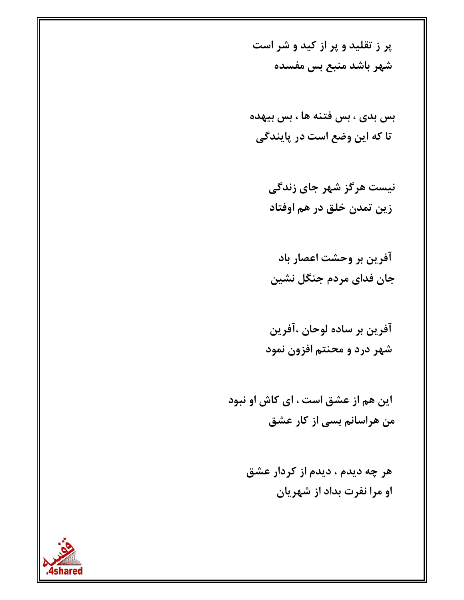ير ز تقليد و ير از كيد و شر است شهر باشد منبع بس مفسده

بس بدی ، بس فتنه ها ، بس بیهده تا که این وضع است در پایندگی

> نیست هرگز شهر جای زندگی زين تمدن خلق در هم اوفتاد

آفرین بر وحشت اعصار باد جان فدای مردم جنگل نشین

آفرين بر ساده لوحان ،آفرين شهر درد و محنتم افزون نمود

این هم از عشق است ، ای کاش او نبود من هراسانم بسی از کار عشق

> هر چه دیدم ، دیدم از کردار عشق او مرا نفرت بداد از شهریان

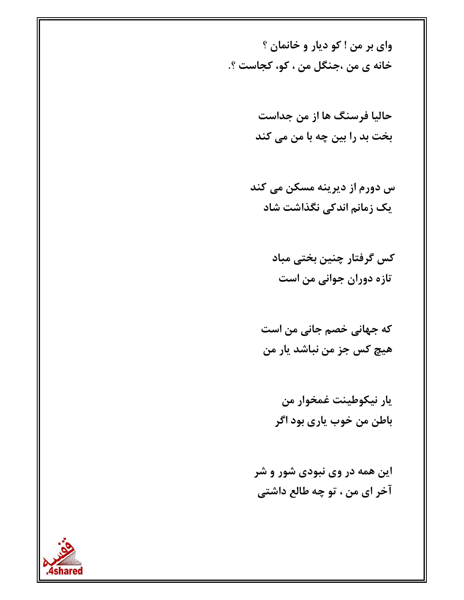واي بر من ! کو ديار و خانمان ؟ خانه ی من ،جنگل من ، کو، کجاست ؟.

> حالیا فرسنگ ها از من جداست بخت بد را بین چه با من می کند

س دورم از دیرینه مسکن می کند یک زمانم اندکی نگذاشت شاد

> کس گرفتار چنین بختی مباد تازه دوران جوانی من است

که جهانی خصم جانی من است هيچ کس جز من نباشد يار من

> يار نيكوطينت غمخوار من باطن من خوب ياري بود اگر

این همه در وی نبودی شور و شر آخر ای من ، تو چه طالع داشتی

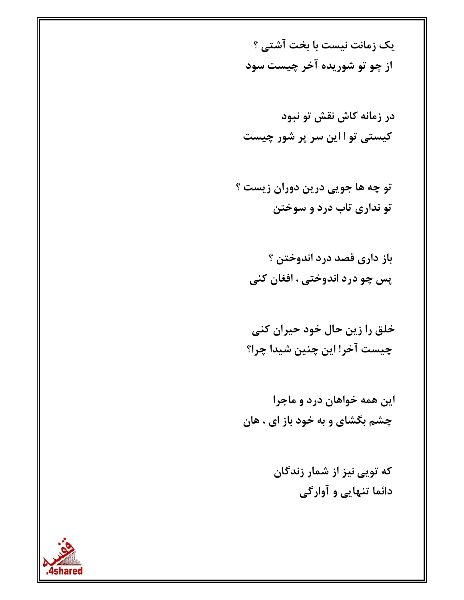یک زمانت نیست با بخت آشتی ؟ از چو تو شوریده آخر چیست سود

تو چه ها جويي درين دوران زيست ؟ تو نداری تاب درد و سوختن

باز داری قصد درد اندوختن ؟ پس چو درد اندوختي ، افغان کني

خلق را زین حال خود حیران کنی چیست آخر! این چنین شیدا چرا؟

این همه خواهان درد و ماجرا چشم بگشای و به خود باز ای ، هان

> که توپی نیز از شمار زندگان دائما تنهایی و آوارگی

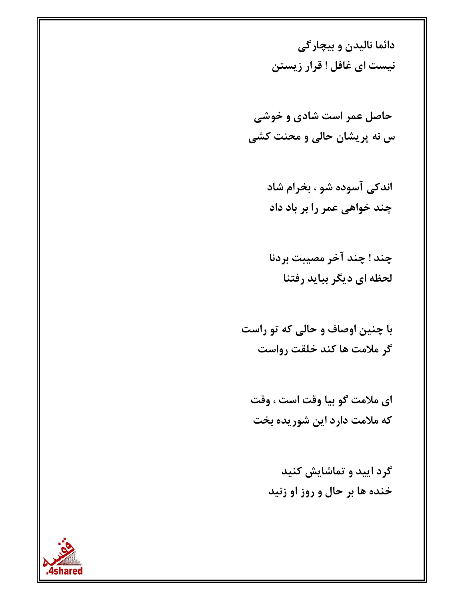دائما ناليدن و بيچارگي نیست ای غافل ! قرار زیستن

حاصل عمر است شادی و خوشی س نه پریشان حالی و محنت کشی

> اندکی آسوده شو ، بخرام شاد چند خواهی عمر را بر باد داد

چند ! چند آخر مصيبت بردنا لحظه ای دیگر بباید رفتنا

با چنین اوصاف و حالی که تو راست گر ملامت ها کند خلقت رواست

ای ملامت گو بیا وقت است ، وقت که ملامت دارد این شوریده بخت

> گرد ایید و تماشایش کنید خنده ها بر حال و روز او زنید

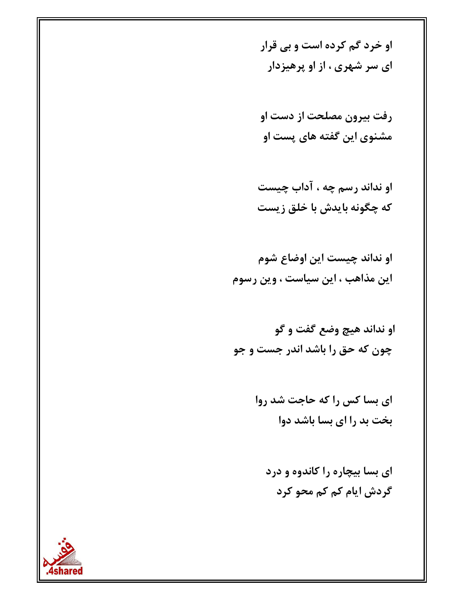او خرد گم کرده است و بی قرار ای سر شهری ، از او پرهیزدار

رفت بيرون مصلحت از دست او مشنوی این گفته های پست او

او نداند رسم چه ، آداب چیست که چگونه بایدش با خلق زیست

او نداند چیست این اوضاع شوم این مذاهب ، این سیاست ، وین رسوم

او نداند هيچ وضع گفت و گو چون که حق را باشد اندر جست و جو

> ای بسا کس را که حاجت شد روا بخت بد را ای بسا باشد دوا

ای بسا بیچاره را کاندوه و درد گردش ایام کم کم محو کرد

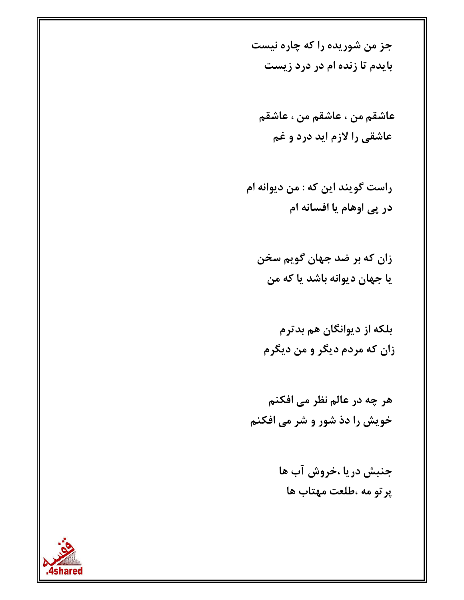جز من شوریده را که چاره نیست بایدم تا زنده ام در درد زیست

عاشقم من ، عاشقم من ، عاشقم عاشقی را لازم اید درد و غم

راست گويند اين كه : من ديوانه ام در پی اوهام یا افسانه ام

زان که بر ضد جهان گویم سخن يا جهان ديوانه باشد يا كه من

بلکه از دیوانگان هم بدترم زان که مردم دیگر و من دیگرم

هر چه در عالم نظر می افکنم خویش را دذ شور و شر می افکنم

> جنبش دریا ،خروش آب ها پر تو مه ،طلعت مهتاب ها

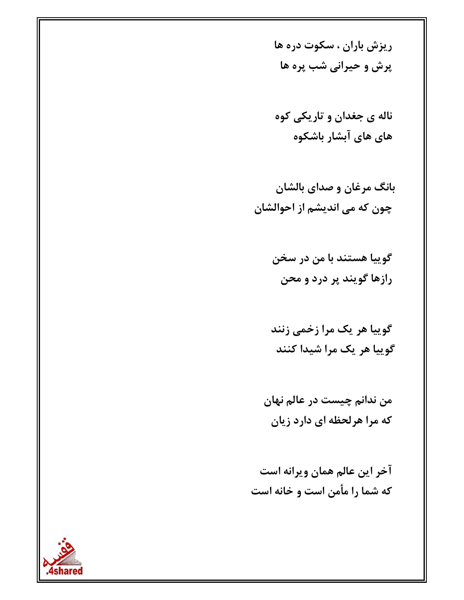ریزش باران ، سکوت دره ها پرش و حیرانی شب پره ها

ناله ی جغدان و تاریکی کوه های های آبشار باشکوه

بانگ مرغان و صدای بالشان چون که می اندیشم از احوالشان

> گوييا هستند با من در سخن رازها گویند پر درد و محن

گوییا هر یک مرا زخمی زنند گوييا هر يک مرا شيدا کنند

من ندانم چیست در عالم نهان که مرا هرلحظه ای دارد زیان

آخر این عالم همان ویرانه است که شما را مأمن است و خانه است

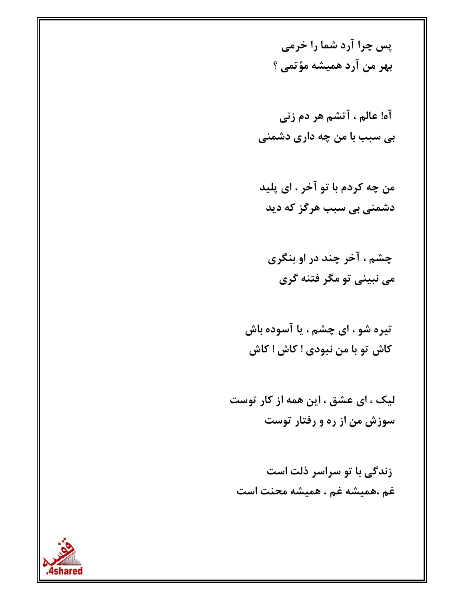پس چرا آرد شما را خرمی بهر من آرد همیشه مؤتمی ؟

آه! عالم ، آتشم هر دم زني بی سبب با من چه داری دشمنی

من چه کردم با تو آخر ، ای پلید دشمنی بی سبب هرگز که دید

چشم ، آخر چند در او بنگری مي نبيني تو مگر فتنه گري

تیره شو ، ای چشم ، یا آسوده باش كاش تو با من نبودي ! كاش ! كاش

لیک ، ای عشق ، این همه از کار توست سوزش من از ره و رفتار توست

زندگی با تو سراسر ذلت است غم ،هميشه غم ، هميشه محنت است

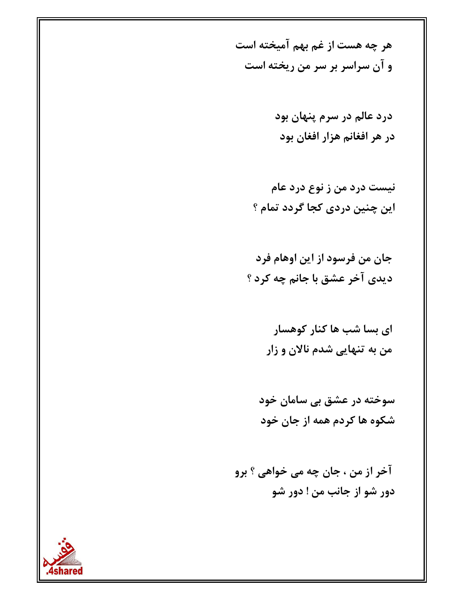هر چه هست از غم بهم آمیخته است و آن سراسر بر سر من ریخته است

> درد عالم در سرم پنهان بود در هر افغانم هزار افغان بود

نیست درد من ز نوع درد عام این چنین دردی کجا گردد تمام ؟

جان من فرسود از این اوهام فرد ديدي آخر عشق با جانم چه كرد ؟

> ای بسا شب ها کنار کوهسار من به تنهایی شدم نالان و زار

سوخته در عشق بی سامان خود شکوه ها کردم همه از جان خود

آخر از من ، جان چه می خواهی ؟ برو دور شو از جانب من ! دور شو

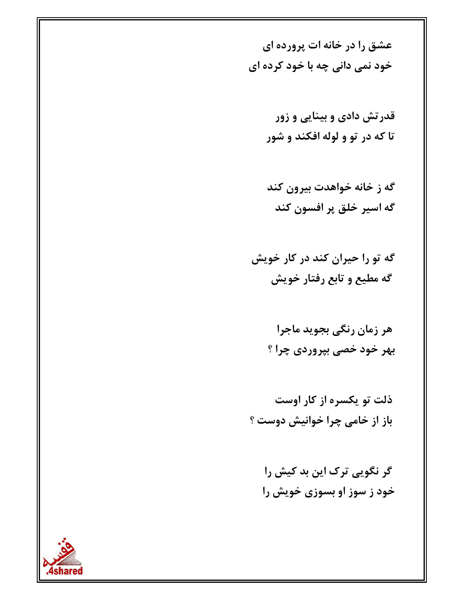عشق را در خانه ات پرورده ای خود نمي داني چه با خود کرده اي

- قدرتش دادی و بینایی و زور تا که در تو و لوله افکند و شور
- گه ز خانه خواهدت بیرون کند گه اسير خلق پر افسون كند
- گه تو را حیران کند در کار خویش گه مطیع و تابع رفتار خویش
	- هر زمان رنگی بجوید ماجرا بهر خود خصی بپروردی چرا ؟
- ذلت تو یکسره از کار اوست باز از خامی چرا خوانیش دوست ؟
	- گر نگویی ترک این بد کیش را خود ز سوز او بسوزی خویش را

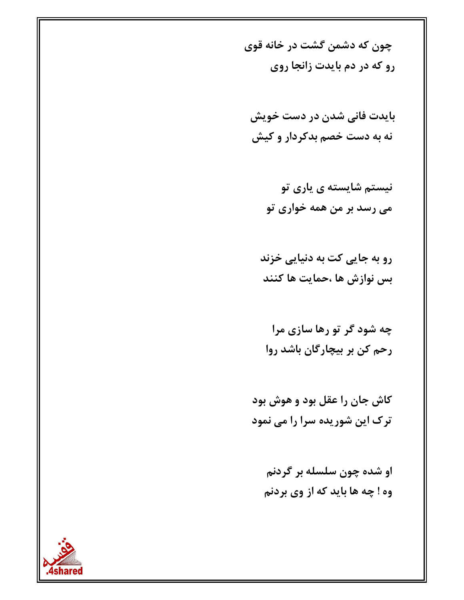چون که دشمن گشت در خانه قوی رو که در دم بایدت زانجا روی

بايدت فاني شدن در دست خويش نه به دست خصم بدکردار و کیش

> نیستم شایسته ی پاری تو می رسد بر من همه خواری تو

رو به جایی کت به دنیایی خزند بس نوازش ها ،حمايت ها كنند

چه شود گر تو رها سازی مرا رحم کن بر بیچارگان باشد روا

كاش جان را عقل بود و هوش بود ترک این شوریده سرا را می نمود

او شده چون سلسله بر گردنم وه ! چه ها باید که از وی بردنم

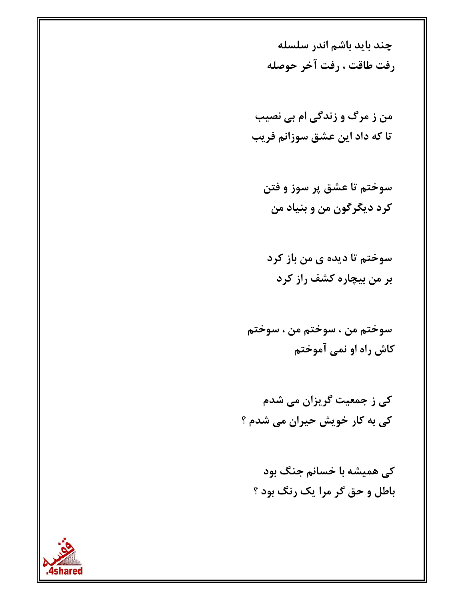چند باید باشم اندر سلسله رفت طاقت ، رفت آخر حوصله

من ز مرگ و زندگی ام بی نصیب تا که داد این عشق سوزانم فریب

سوختم تا عشق پر سوز و فتن کرد دیگرگون من و بنیاد من

سوختم تا دیده ی من باز کرد بر من بیچاره کشف راز کرد

سوختم من ، سوختم من ، سوختم کاش راه او نمی آموختم

کی ز جمعیت گریزان می شدم کی به کار خویش حیران می شدم ؟

کی همیشه با خسانم جنگ بود باطل و حق گر مرا یک رنگ بود ؟

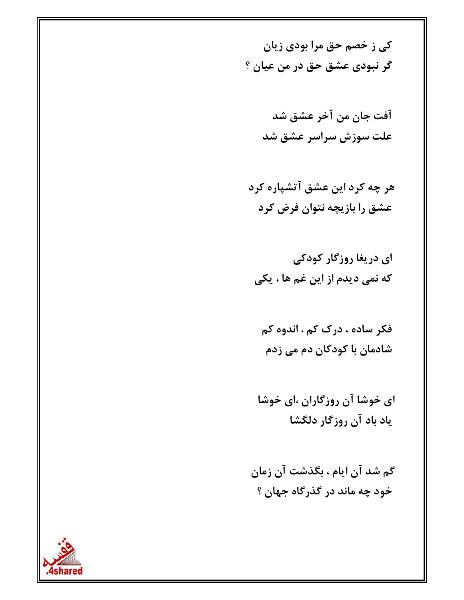کی ز خصم حق مرا بودی زیان گر نبودي عشق حق در من عيان ؟

> آفت جان من آخر عشق شد علت سوزش سراسر عشق شد

هر چه کرد این عشق آتشپاره کرد عشق را بازیچه نتوان فرض کرد

ای دریغا روزگار کودکی که نمی دیدم از این غم ها ، یکی

فکر ساده ، درک کم ، اندوه کم شادمان با کودکان دم می زدم

ای خوشا آن روزگاران ،ای خوشا ياد باد آن روزگار دلگشا

گم شد آن ایام ، بگذشت آن زمان خود چه ماند در گذرگاه جهان ؟

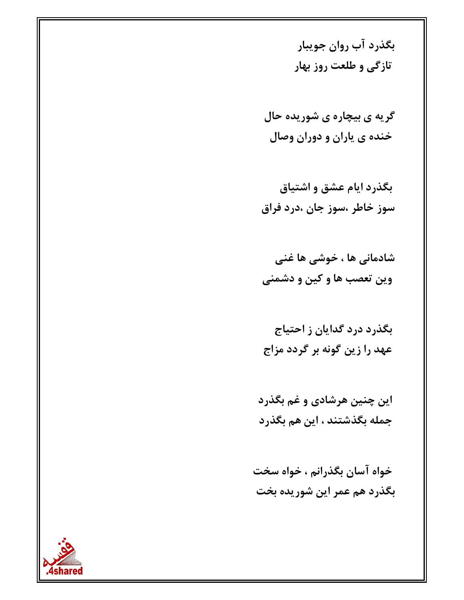بگذرد آب روان جویبار تازگی و طلعت روز بهار

گریه ی بیچاره ی شوریده حال خنده ی پاران و دوران وصال

بگذرد ایام عشق و اشتیاق سوز خاطر ،سوز جان ،درد فراق

شادمانی ها ، خوشی ها غنی وين تعصب ها و كين و دشمني

بگذرد درد گدایان ز احتیاج عهد را زين گونه بر گردد مزاج

این چنین هرشادی و غم بگذرد جمله بگذشتند ، این هم بگذرد

خواه آسان بگذرانم ، خواه سخت بگذرد هم عمر این شوریده بخت

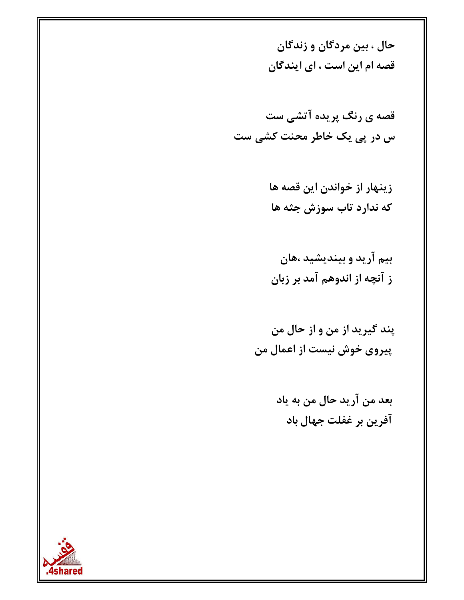حال ، بین مردگان و زندگان قصه ام این است ، ای ایندگان

- زینهار از خواندن این قصه ها که ندارد تاب سوزش جثه ها
- بیم آرید و بیندیشید ،هان ز آنچه از اندوهم آمد بر زبان
- پند گيريد از من و از حال من پیروی خوش نیست از اعمال من
	- بعد من آريد حال من به ياد آفرين بر غفلت جهال باد

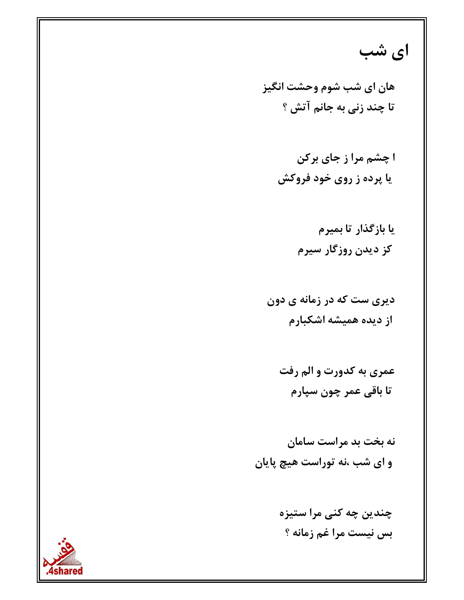ای شب

هان ای شب شوم وحشت انگیز تا چند زنی به جانم آتش ؟

> ا چشم مرا ز جای برکن یا پرده ز روی خود فروکش

> > یا بازگذار تا بمپرم کز دیدن روزگار سیرم

دیری ست که در زمانه ی دون از دیده همیشه اشکبارم

عمري به كدورت و الم رفت تا باقی عمر چون سیارم

نه بخت بد مراست سامان و ای شب ،نه توراست هیچ پایان

> چندین چه کنی مرا ستیزه بس نيست مرا غم زمانه ؟

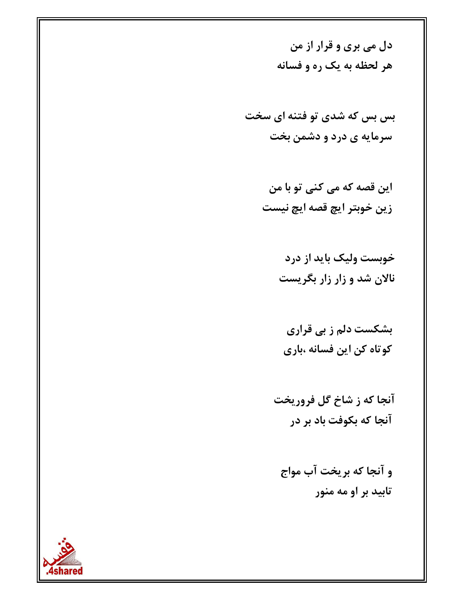دل می بری و قرار از من هر لحظه به یک ره و فسانه

بس بس که شدی تو فتنه ای سخت سرمایه ی درد و دشمن بخت

> این قصه که می کنی تو با من زين خوبتر ايچ قصه ايچ نيست

> > خوبست ولیک باید از درد نالان شد و زار زار بگریست

بشکست دلم ز بی قراری کوتاه کن این فسانه ،باری

آنجا که ز شاخ گل فروریخت آنجا که بکوفت باد بر در

و آنجا که بریخت آب مواج تابید بر او مه منور

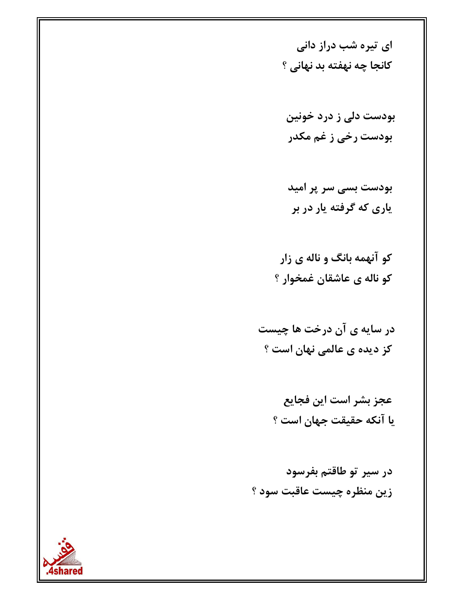ای تیره شب دراز دانی كانجا چه نهفته بد نهانی ؟

بودست دلی ز درد خونین بودست رخی ز غم مکدر

بودست بسی سر پر امید ياري که گرفته يار در بر

کو آنهمه بانگ و ناله ی زار کو ناله ی عاشقان غمخوار ؟

در سایه ی آن درخت ها چیست کز دیده ی عالمی نهان است ؟

> عجز بشر است این فجایع يا آنكه حقيقت جهان است ؟

در سیر تو طاقتم بفرسود زين منظره چيست عاقبت سود ؟

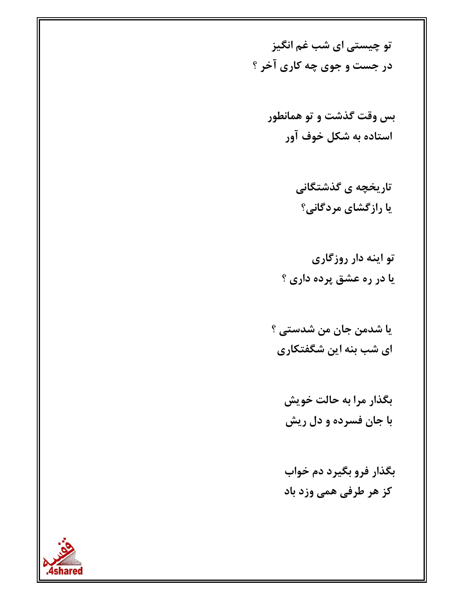تو چیستی ای شب غم انگیز در جست و جوی چه کاری آخر ؟

بس وقت گذشت و تو همانطور استاده به شکل خوف آور

> تاریخچه ی گذشتگانی یا رازگشای مردگانی؟

تو اینه دار روزگاری يا در ره عشق پرده داري ؟

يا شدمن جان من شدستي ؟ ای شب بنه این شگفتکاری

بگذار مرا به حالت خویش با جان فسرده و دل ریش

بگذار فرو بگیرد دم خواب كز هر طرفي همي وزد باد

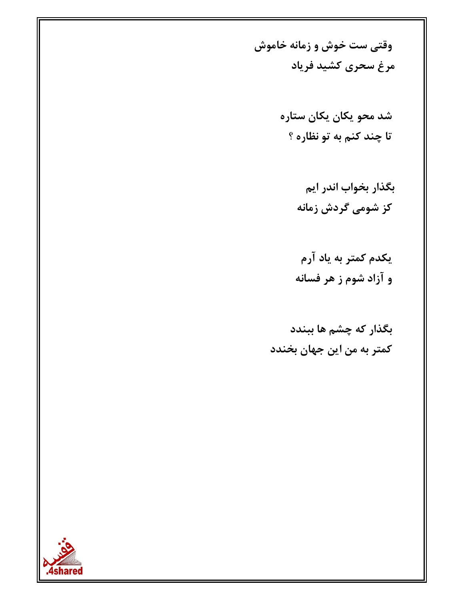وقتی ست خوش و زمانه خاموش مرغ سحرى كشيد فرياد

> شد محو یکان یکان ستاره تا چند کنم به تو نظاره ؟

> > بگذار بخواب اندر ایم کز شومی گردش زمانه

یکدم کمتر به یاد آرم و آزاد شوم ز هر فسانه

بگذار که چشم ها ببندد کمتر به من این جهان بخندد

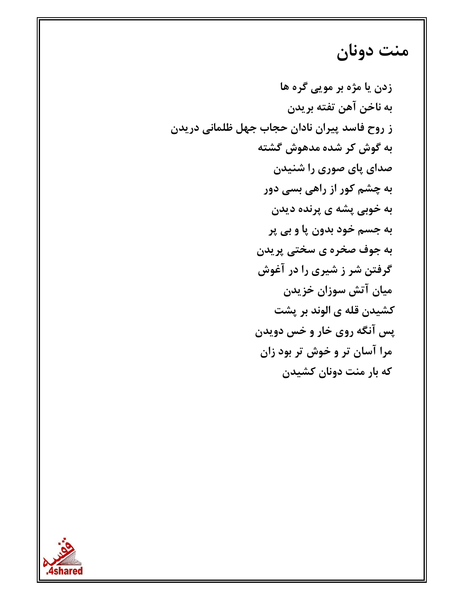# منت دونان

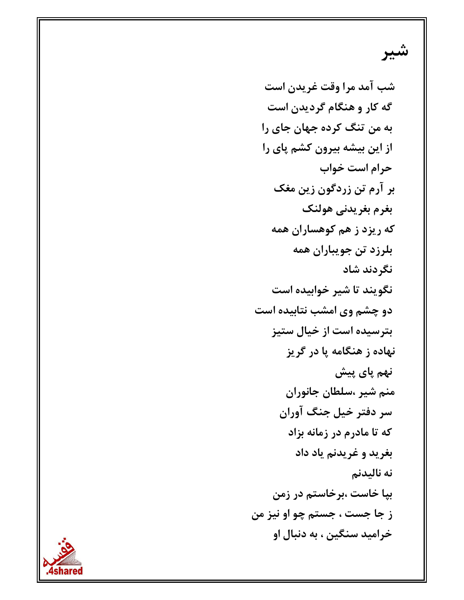#### شیر

شب آمد مرا وقت غريدن است گه کار و هنگام گردیدن است به من تنگ کرده جهان جای را از این بیشه بیرون کشم پای را حرام است خواب بر آرم تن زردگون زین مغک بغرم بغريدني هولنك که ریزد ز هم کوهساران همه بلرزد تن جويباران همه نگردند شاد نگویند تا شیر خوابیده است دو چشم وی امشب نتابیده است بترسیده است از خیال ستیز نهاده ز هنگامه پا در گريز ِ نهم پای پیش منم شیر ،سلطان جانوران سر دفتر خیل جنگ آوران که تا مادرم در زمانه بزاد بغريد و غريدنم ياد داد نه ناليدنم بیا خاست ،بر خاستم در زمن ز جا جست ، جستم چو او نيز من خراميد سنگين ، به دنبال او

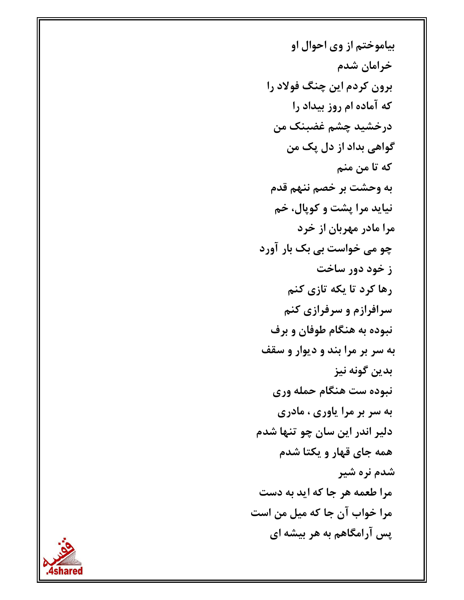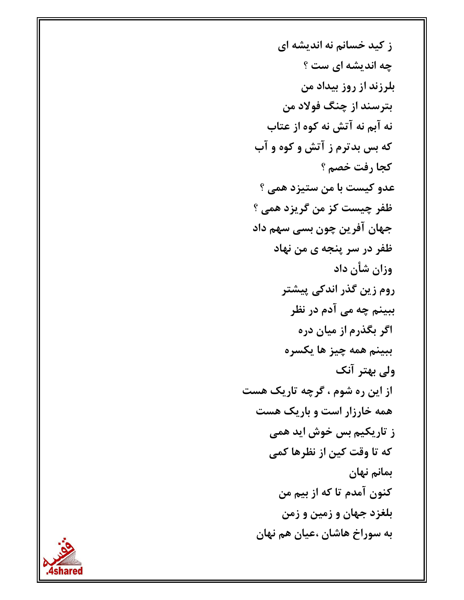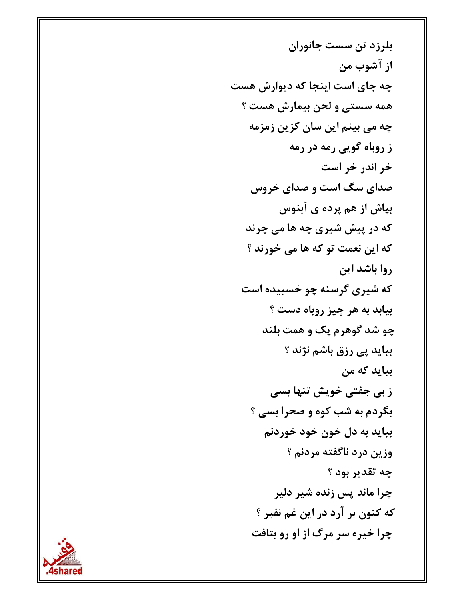بلرزد تن سست جانوران از آشوب من چه جای است اینجا که دیوارش هست همه سستی و لحن بیمارش هست ؟ چه می بینم این سان کزین زمزمه ز روباه گویی رمه در رمه خر اندر خر است صدای سگ است و صدای خروس بپاش از هم پرده ی آبنوس که در پیش شیری چه ها می چرند که این نعمت تو که ها می خورند ؟ روا باشد این که شیری گرسنه چو خسبیده است بيابد به هر چيز روباه دست ؟ چو شد گوهرم یک و همت بلند بباید پی رزق باشم نژند ؟ ببايد كه من ز بی جفتی خویش تنها بسی بگردم به شب کوه و صحرا بسی ؟ ببايد به دل خون خود خوردنم وزين درد ناگفته مردنم ؟ چه تقدیر بود ؟ چرا ماند پس زنده شیر دلیر كه كنون بر آرد در اين غم نفير ؟ چرا خیره سر مرگ از او رو بتافت

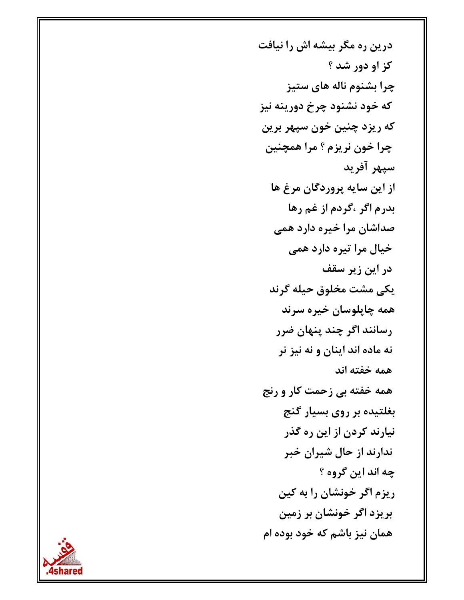درین ره مگر بیشه اش را نیافت کز او دور شد ؟ چرا بشنوم ناله های ستیز که خود نشنود چرخ دورینه نیز که ریزد چنین خون سپهر برین چرا خون نريزم ؟ مرا همچنين سيهر آفريد از اين سايه پروردگان مرغ ها بدرم اگر ،گردم از غم رها صداشان مرا خیره دارد همی خيال مرا تيره دارد همي در این زیر سقف يكى مشت مخلوق حيله گرند همه چاپلوسان خيره سرند رسانند اگر چند پنهان ضرر نه ماده اند اينان و نه نيز نر همه خفته اند همه خفته بي زحمت کار و رنج بغلتیده بر روی بسیار گنج نیارند کردن از این ره گذر ندارند از حال شیران خبر چه اند این گروه ؟ ریزم اگر خونشان را به کین بریزد اگر خونشان بر زمین همان نیز باشم که خود بوده ام

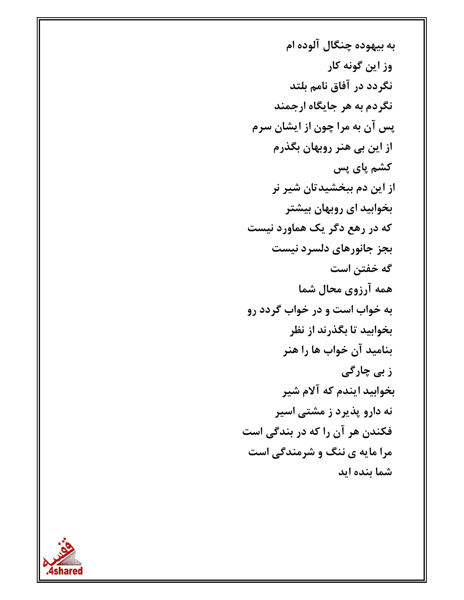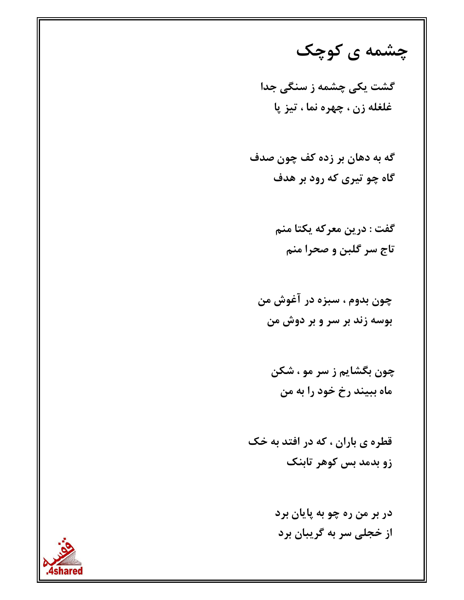چشمه ی کوچک

گشت یکی چشمه ز سنگی جدا غلغله زن ، چهره نما ، تيز پا

گه به دهان بر زده کف چون صدف گاه چو تیری که رود بر هدف

> گفت : درين معركه يكتا منم تاج سر گلبن و صحرا منم

چون بدوم ، سبزه در آغوش من بوسه زند بر سر و بر دوش من

چون بگشایم ز سر مو ، شکن ماه ببيند رخ خود را به من

قطره ي باران ، كه در افتد به خك زو بدمد بس کوهر تابنک

> در بر من ره چو به پایان برد از خجلی سر به گریبان برد

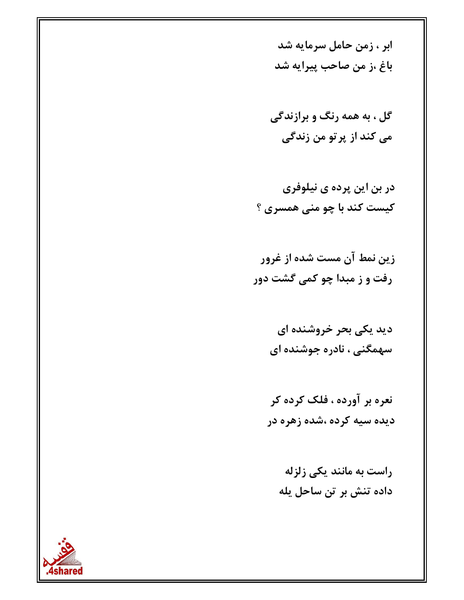ابر ، زمن حامل سرمایه شد باغ ،ز من صاحب پيرايه شد

گل ، به همه رنگ و برازندگی می کند از پرتو من زندگی

- در بن این پرده ی نیلوفری کیست کند با چو منی همسری ؟
- زین نمط آن مست شده از غرور رفت و ز مبدا چو کمی گشت دور
	- دید یکی بحر خروشنده ای سهمگنی ، نادره جوشنده ای
	- نعره بر آورده ، فلک کرده کر دیده سیه کرده ،شده زهره در
		- راست به مانند یکی زلزله داده تنش بر تن ساحل یله

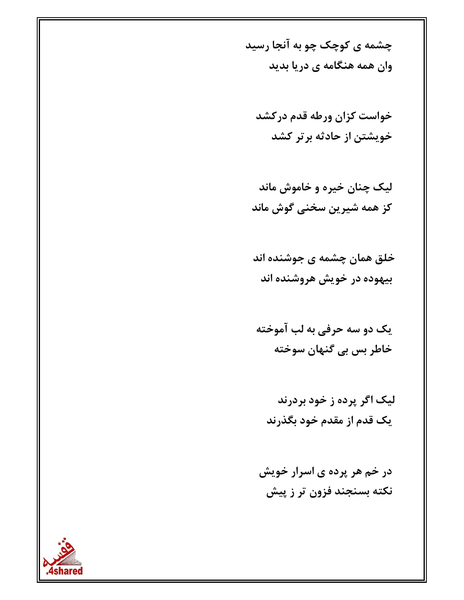چشمه ی کوچک چو به آنجا رسید وان همه هنگامه ی دریا بدید

خواست كزان ورطه قدم دركشد خویشتن از حادثه بر تر کشد

لیک چنان خیره و خاموش ماند کز همه شیرین سخنی گوش ماند

خلق همان چشمه ی جوشنده اند بيهوده در خويش هروشنده اند

یک دو سه حرفی به لب آموخته خاطر بس بي گنهان سوخته

لیک اگر پرده ز خود بردرند یک قدم از مقدم خود بگذرند

در خم هر پرده ی اسرار خویش نکته بسنجند فزون تر ز پیش

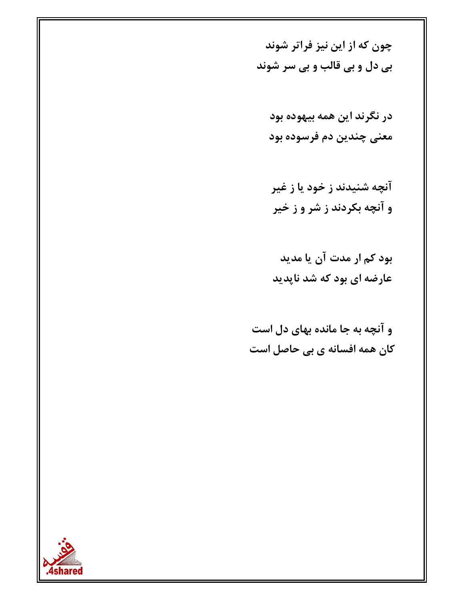چون که از این نیز فراتر شوند بی دل و بی قالب و بی سر شوند

در نگرند این همه بیهوده بود معنی چندین دم فرسوده بود

آنچه شنیدند ز خود یا ز غیر و آنچه بکردند ز شر و ز خیر

بود کم ار مدت آن یا مدید عارضه ای بود که شد ناپدید

و آنچه به جا مانده بهای دل است کان همه افسانه ی بی حاصل است

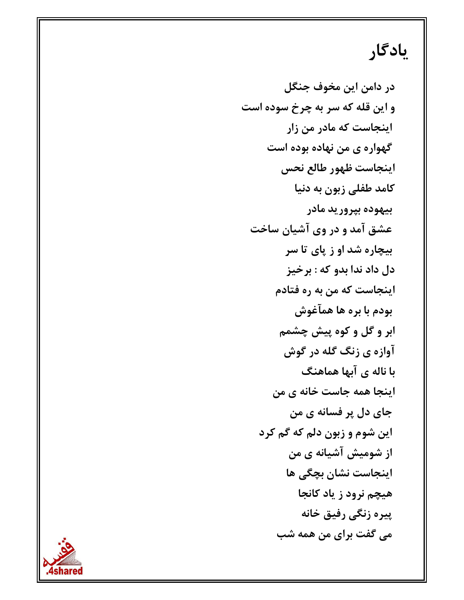### يادگار

در دامن این مخوف جنگل و این قله که سر به چرخ سوده است اینجاست که مادر من زار گهواره ی من نهاده بوده است اينجاست ظهور طالع نحس كامد طفلي زبون به دنيا بيهوده بپروريد مادر عشق آمد و در وی آشیان ساخت بیچاره شد او ز پای تا سر دل داد ندا بدو که : برخیز اینجاست که من به ره فتادم بودم با بره ها همآغوش ابر و گل و کوه پیش چشمم آوازه ي زنگ گله در گوش با ناله ی آبها هماهنگ اینجا همه جاست خانه ی من جای دل پر فسانه ی من این شوم و زبون دلم که گم کرد از شومیش آشیانه ی من اینجاست نشان بچگی ها هیچم نرود ز یاد کانجا پیره زنگی رفیق خانه می گفت برای من همه شب

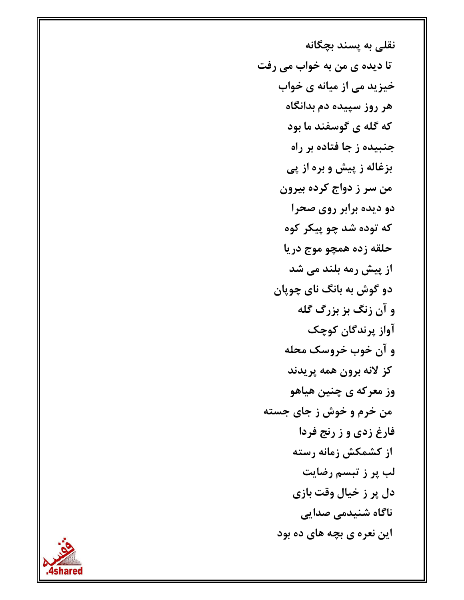نقلی به پسند بچگانه تا دیده ی من به خواب می رفت خیزید می از میانه ی خواب هر روز سپیده دم بدانگاه که گله ی گوسفند ما بود جنبیده ز جا فتاده بر راه بزغاله ز پیش و بره از پی من سر ز دواج کرده بیرون دو دیده برابر روی صحرا که توده شد چو پیکر کوه حلقه زده همچو موج دريا از پیش رمه بلند می شد دو گوش به بانگ نای چوپان و آن زنگ بز بزرگ گله آواز پرندگان کوچک و آن خوب خروسک محله كز لانه برون همه پريدند وز معرکه ی چنین هیاهو من خرم و خوش ز جای جسته فارغ زدي و ز رنج فردا از کشمکش زمانه رسته لب پر ز تبسم رضایت دل پر ز خیال وقت بازی ناگاه شنیدمی صدایی این نعره ی بچه های ده بود

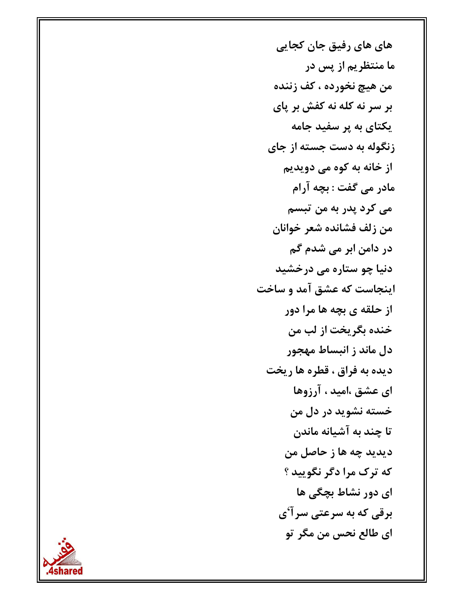های های رفیق جان کجایی ما منتظریم از پس در من هيچ نخورده ، كف زننده بر سر نه کله نه کفش بر پای یکتای به پر سفید جامه زنگوله به دست جسته از جای از خانه به کوه می دویدیم مادر می گفت : بچه آرام می کرد پدر به من تبسم من زلف فشانده شعر خوانان در دامن ابر می شدم گم دنیا چو ستاره می درخشید اینجاست که عشق آمد و ساخت از حلقه ی بچه ها مرا دور خنده بگريخت از لب من دل ماند ز انبساط مهجور ديده به فراق ، قطره ها ريخت ای عشق ،امید ، آرزوها خسته نشوید در دل من تا چند به آشیانه ماندن ديديد چه ها ز حاصل من که ترک مرا دگر نگویید ؟ ای دور نشاط بچگی ها برقی که به سرعتی سرآ'ی اي طالع نحس من مگر تو

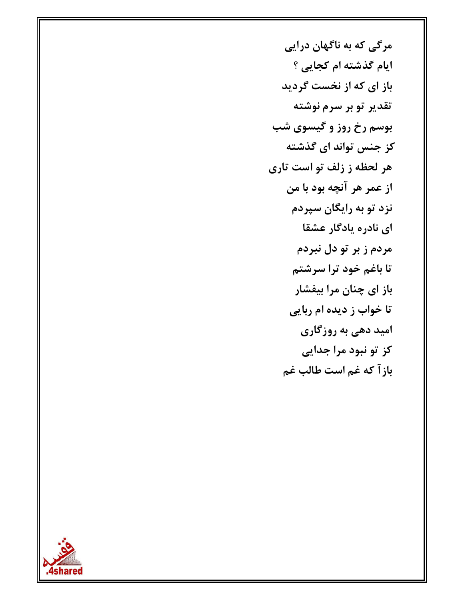مرگی که به ناگهان درایی ایام گذشته ام کجایی ؟ باز ای که از نخست گردید تقدیر تو بر سرم نوشته بوسم رخ روز و گیسوی شب کز جنس تواند ای گذشته هر لحظه ز زلف تو است تاری از عمر هر آنچه بود با من نزد تو به رایگان سپردم ای نادره یادگار عشقا مردم ز بر تو دل نبردم تا باغم خود ترا سرشتم باز ای چنان مرا بیفشار تا خواب ز دیده ام ربایی امید دهی به روزگاری کز تو نبود مرا جدایی بازآ كه غم است طالب غم

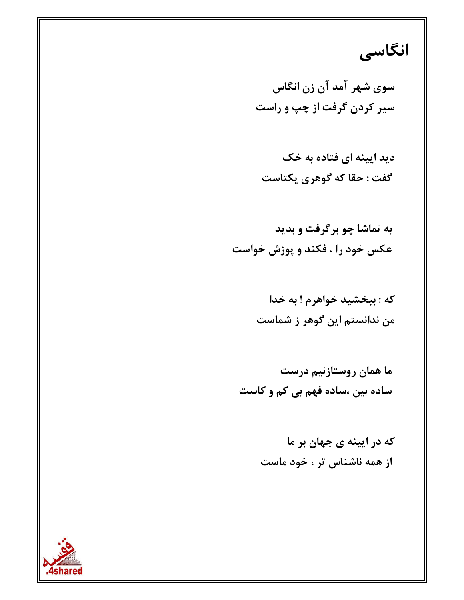#### انگاسی

سوی شهر آمد آن زن انگاس سیر کردن گرفت از چپ و راست

دید ایینه ای فتاده به خک گفت : حقا که گوهری یکتاست

به تماشا چو برگرفت و بدید عکس خود را ، فکند و پوزش خواست

> که : ببخشید خواهرم ! به خدا من ندانستم این گوهر ز شماست

ما همان روستازنیم درست ساده بین ،ساده فهم بی کم و کاست

> که در ایینه ی جهان بر ما از همه ناشناس تر ، خود ماست

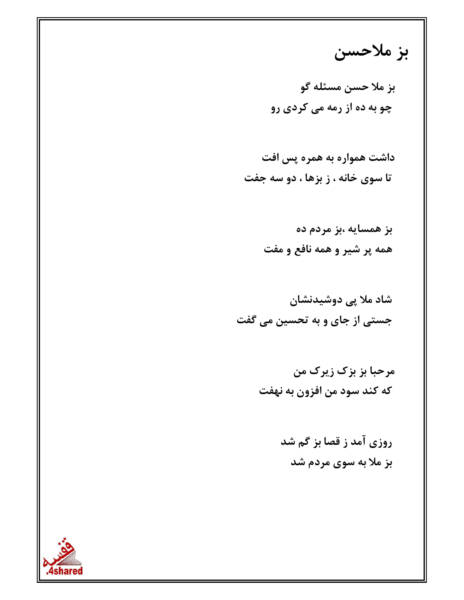## بز ملاحسن

روزی آمد ز قصا بز گم شد بز ملا به سوی مردم شد

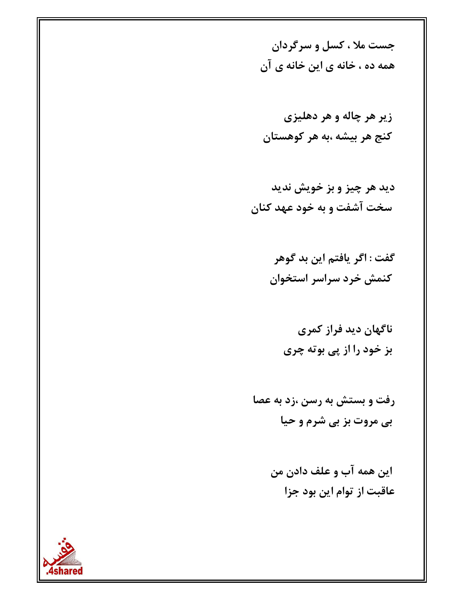جست ملا ، کسل و سرگردان همه ده ، خانه ی این خانه ی آن

زير هر چاله و هر دهليزي کنج هر بیشه ،به هر کوهستان

ديد هر چيز و بز خويش نديد سخت آشفت و به خود عهد کنان

> گفت : اگر یافتم این بد گوهر كنمش خرد سراسر استخوان

ناگهان دید فراز کمری بز خود را از پی بوته چری

رفت و بستش به رسن ،زد به عصا بی مروت بز بی شرم و حیا

> اين همه آب و علف دادن من عاقبت از توام این بود جزا

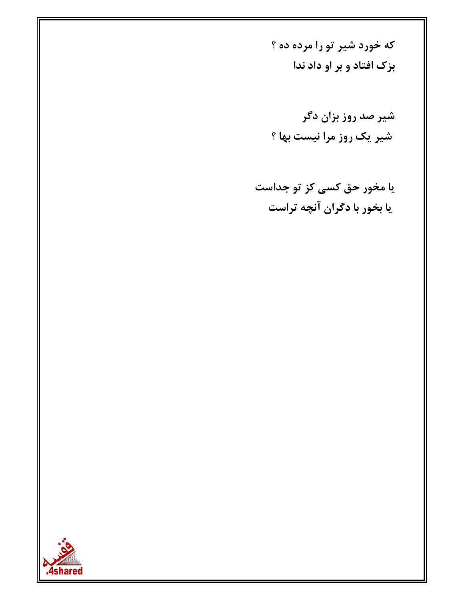که خورد شیر تو را مرده ده ؟ بزک افتاد و بر او داد ندا

شیر صد روز بزان دگر شیر یک روز مرا نیست بها ؟

یا مخور حق کسی کز تو جداست یا بخور با دگران آنچه تراست

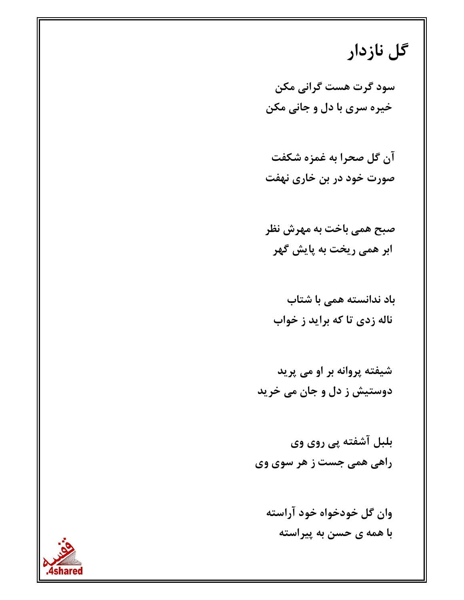## گل نازدار

سود گرت هست گرانی مکن خيره سري با دل و جاني مكن

آن گل صحرا به غمزه شکفت صورت خود در بن خاری نهفت

صبح همي باخت به مهرش نظر ابر همی ریخت به پایش گهر

باد ندانسته همی با شتاب ناله زدي تا که برايد ز خواب

شیفته پروانه بر او می پرید دوستیش ز دل و جان می خرید

بلبل آشفته پی روی وی راهي همي جست ز هر سوي وي

وان گل خودخواه خود آراسته با همه ی حسن به پیراسته

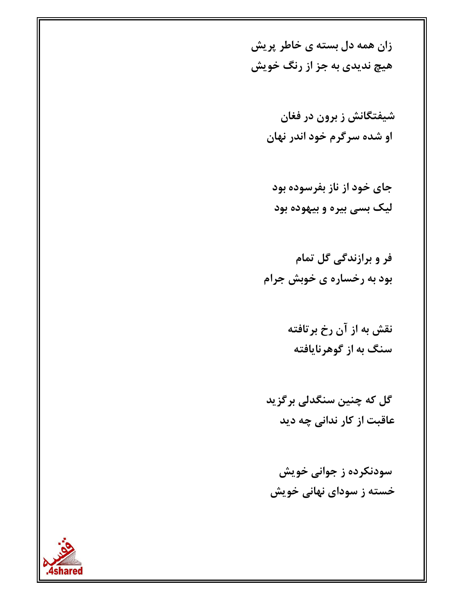زان همه دل بسته ی خاطر پریش هیچ ندیدی به جز از رنگ خویش

> شیفتگانش ز برون در فغان او شده سرگرم خود اندر نهان

جای خود از ناز بفرسوده بود لیک بسی بیره و بیهوده بود

فر و برازندگی گل تمام بود به رخساره ی خوبش جرام

> نقش به از آن رخ برتافته سنگ به از گوهرنایافته

گل که چنین سنگدلی برگزید عاقبت از کار ندانی چه دید

سودنکرده ز جوانی خویش خسته ز سودای نهانی خویش

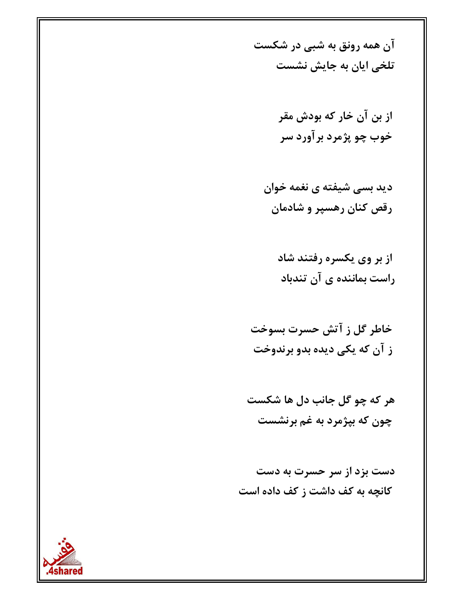آن همه رونق به شبی در شکست تلخی ایان به جایش نشست

> از بن آن خار که بودش مقر خوب چو پژمرد برآورد سر

دید بسی شیفته ی نغمه خوان رقص کنان رهسپر و شادمان

از بر وی یکسره رفتند شاد راست بماننده ی آن تندباد

خاطر گل ز آتش حسرت بسوخت ز آن که یکی دیده بدو برندوخت

هر که چو گل جانب دل ها شکست چون که بپژمرد به غم برنشست

دست بزد از سر حسرت به دست کانچه به کف داشت ز کف داده است

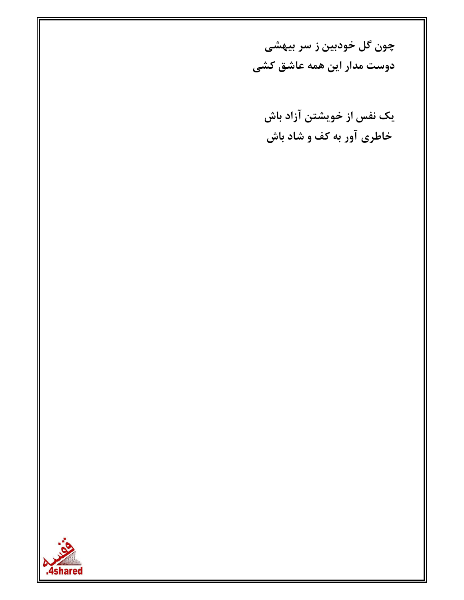چون گل خودبین ز سر بیهشی دوست مدار این همه عاشق کشی

یک نفس از خویشتن آزاد باش خاطری آور به کف و شاد باش

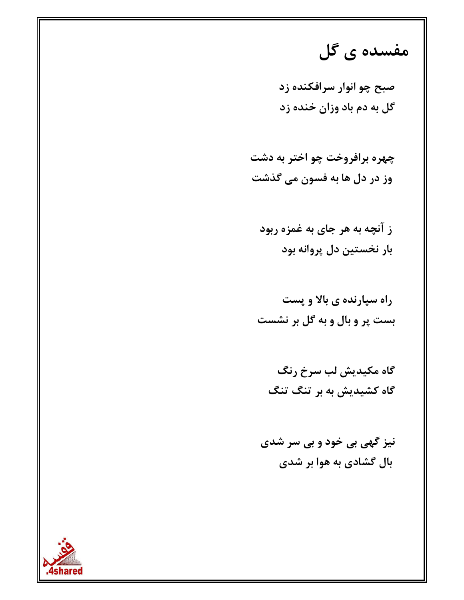#### مفسده ی گل

صبح چو انوار سرافکنده زد گل به دم باد وزان خنده زد

چهره برافروخت چو اختر به دشت وز در دل ها به فسون مي گذشت

ز آنچه به هر جای به غمزه ربود بار نخستين دل پروانه بود

راه سیارنده ی بالا و پست بست پر و بال و به گل بر نشست

نیز گهی بی خود و بی سر شدی بال گشادی به هوا بر شدی

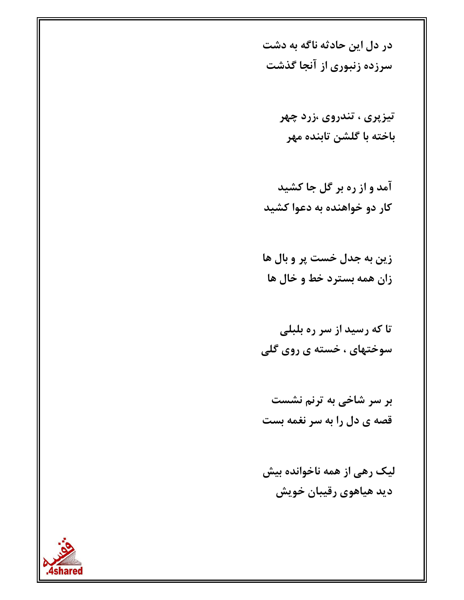در دل این حادثه ناگه به دشت سرزده زنبوری از آنجا گذشت

> تيزپري ، تندروي ،زرد چهر باخته با گلشن تابنده مهر

زين به جدل خست پر و بال ها زان همه بسترد خط و خال ها

تا که رسید از سر ره بلبلی سوختهای ، خسته ی روی گلی

بر سر شاخی به ترنم نشست قصه ی دل را به سر نغمه بست

لیک رهی از همه ناخوانده بیش دید هیاهوی رقیبان خویش

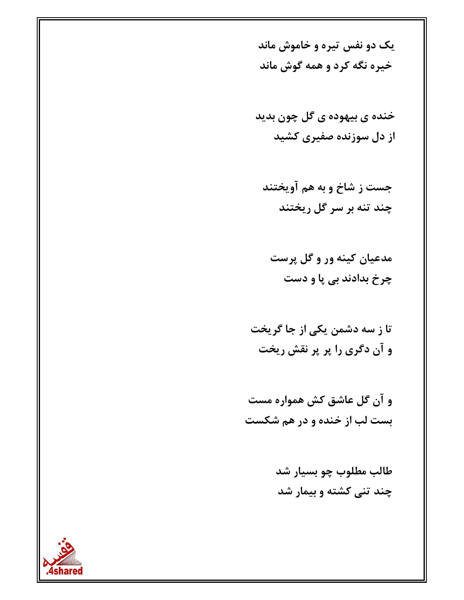یک دو نفس تیره و خاموش ماند خيره نگه کرد و همه گوش ماند

خنده ی بیهوده ی گل چون بدید از دل سوزنده صفیری کشید

جست ز شاخ و به هم آويختند چند تنه بر سر گل ریختند

مدعیان کینه ور و گل پرست چرخ بدادند ہے یا و دست

تا ز سه دشمن یکی از جا گریخت و آن دگری را پر پر نقش ریخت

و آن گل عاشق کش همواره مست بست لب از خنده و در هم شکست

> طالب مطلوب چو بسيار شد چند تنی کشته و بیمار شد

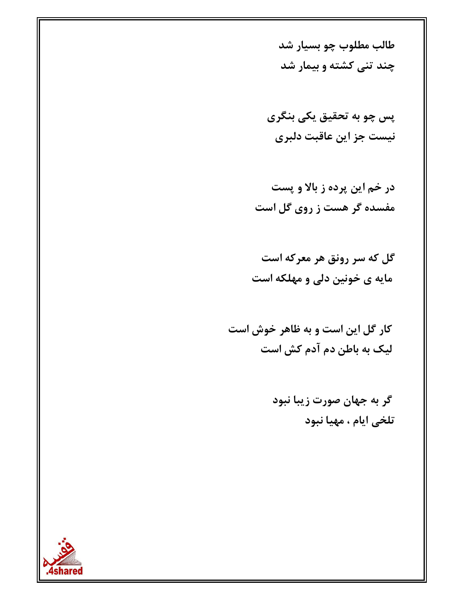طالب مطلوب چو بسیار شد چند تنی کشته و بیمار شد

پس چو به تحقیق یکی بنگری نيست جز اين عاقبت دلبري

در خم این پرده ز بالا و پست مفسده گر هست ز روی گل است

گل که سر رونق هر معرکه است مایه ی خونین دلی و مهلکه است

کار گل این است و به ظاهر خوش است لیک به باطن دم آدم کش است

> گر به جهان صورت زیبا نبود تلخي ايام ، مهيا نبود